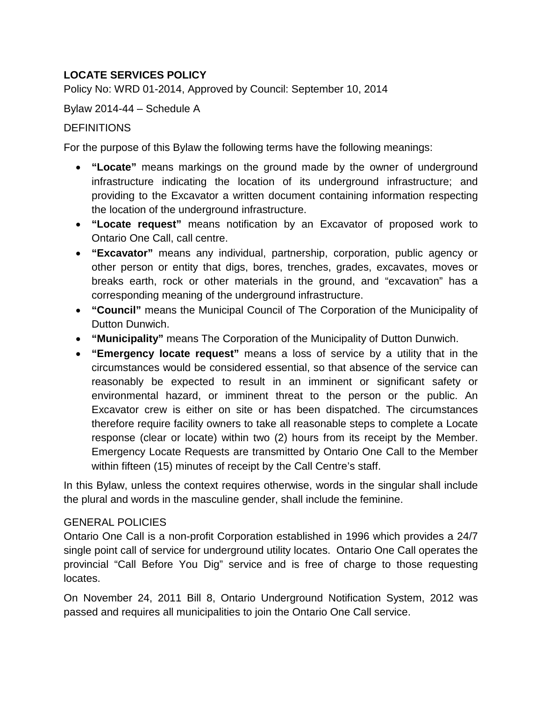# **LOCATE SERVICES POLICY**

Policy No: WRD 01-2014, Approved by Council: September 10, 2014

Bylaw 2014-44 – Schedule A

## **DEFINITIONS**

For the purpose of this Bylaw the following terms have the following meanings:

- **"Locate"** means markings on the ground made by the owner of underground infrastructure indicating the location of its underground infrastructure; and providing to the Excavator a written document containing information respecting the location of the underground infrastructure.
- **"Locate request"** means notification by an Excavator of proposed work to Ontario One Call, call centre.
- **"Excavator"** means any individual, partnership, corporation, public agency or other person or entity that digs, bores, trenches, grades, excavates, moves or breaks earth, rock or other materials in the ground, and "excavation" has a corresponding meaning of the underground infrastructure.
- **"Council"** means the Municipal Council of The Corporation of the Municipality of Dutton Dunwich.
- **"Municipality"** means The Corporation of the Municipality of Dutton Dunwich.
- **"Emergency locate request"** means a loss of service by a utility that in the circumstances would be considered essential, so that absence of the service can reasonably be expected to result in an imminent or significant safety or environmental hazard, or imminent threat to the person or the public. An Excavator crew is either on site or has been dispatched. The circumstances therefore require facility owners to take all reasonable steps to complete a Locate response (clear or locate) within two (2) hours from its receipt by the Member. Emergency Locate Requests are transmitted by Ontario One Call to the Member within fifteen (15) minutes of receipt by the Call Centre's staff.

In this Bylaw, unless the context requires otherwise, words in the singular shall include the plural and words in the masculine gender, shall include the feminine.

## GENERAL POLICIES

Ontario One Call is a non-profit Corporation established in 1996 which provides a 24/7 single point call of service for underground utility locates. Ontario One Call operates the provincial "Call Before You Dig" service and is free of charge to those requesting locates.

On November 24, 2011 Bill 8, Ontario Underground Notification System, 2012 was passed and requires all municipalities to join the Ontario One Call service.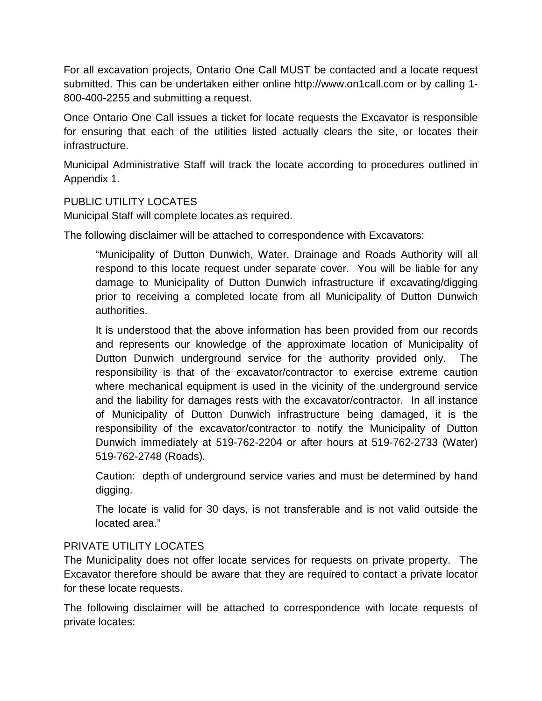For all excavation projects, Ontario One Call MUST be contacted and a locate request submitted. This can be undertaken either online http://www.on1call.com or by calling 1- 800-400-2255 and submitting a request.

Once Ontario One Call issues a ticket for locate requests the Excavator is responsible for ensuring that each of the utilities listed actually clears the site, or locates their infrastructure.

Municipal Administrative Staff will track the locate according to procedures outlined in Appendix 1.

## PUBLIC UTILITY LOCATES

Municipal Staff will complete locates as required.

The following disclaimer will be attached to correspondence with Excavators:

"Municipality of Dutton Dunwich, Water, Drainage and Roads Authority will all respond to this locate request under separate cover. You will be liable for any damage to Municipality of Dutton Dunwich infrastructure if excavating/digging prior to receiving a completed locate from all Municipality of Dutton Dunwich authorities.

It is understood that the above information has been provided from our records and represents our knowledge of the approximate location of Municipality of Dutton Dunwich underground service for the authority provided only. The responsibility is that of the excavator/contractor to exercise extreme caution where mechanical equipment is used in the vicinity of the underground service and the liability for damages rests with the excavator/contractor. In all instance of Municipality of Dutton Dunwich infrastructure being damaged, it is the responsibility of the excavator/contractor to notify the Municipality of Dutton Dunwich immediately at 519-762-2204 or after hours at 519-762-2733 (Water) 519-762-2748 (Roads).

Caution: depth of underground service varies and must be determined by hand digging.

The locate is valid for 30 days, is not transferable and is not valid outside the located area."

## PRIVATE UTILITY LOCATES

The Municipality does not offer locate services for requests on private property. The Excavator therefore should be aware that they are required to contact a private locator for these locate requests.

The following disclaimer will be attached to correspondence with locate requests of private locates: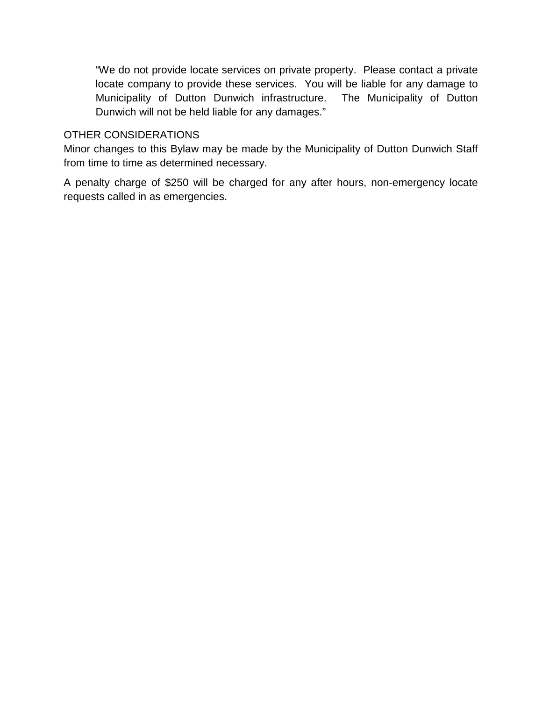"We do not provide locate services on private property. Please contact a private locate company to provide these services. You will be liable for any damage to Municipality of Dutton Dunwich infrastructure. The Municipality of Dutton Dunwich will not be held liable for any damages."

#### OTHER CONSIDERATIONS

Minor changes to this Bylaw may be made by the Municipality of Dutton Dunwich Staff from time to time as determined necessary.

A penalty charge of \$250 will be charged for any after hours, non-emergency locate requests called in as emergencies.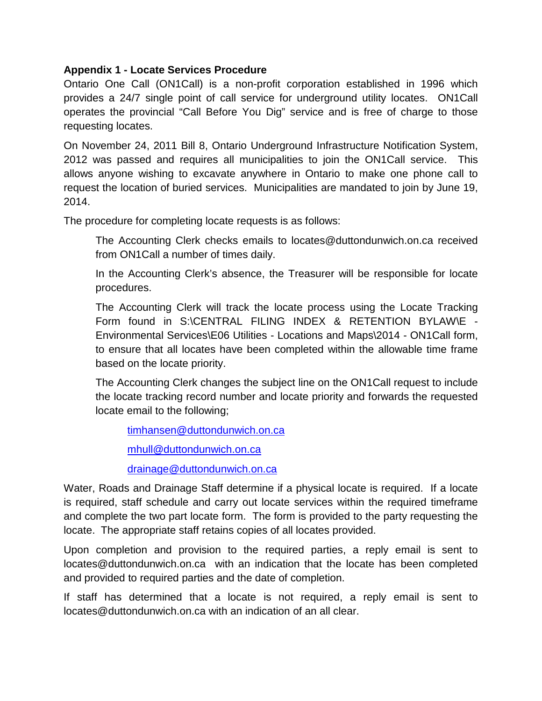#### **Appendix 1 - Locate Services Procedure**

Ontario One Call (ON1Call) is a non-profit corporation established in 1996 which provides a 24/7 single point of call service for underground utility locates. ON1Call operates the provincial "Call Before You Dig" service and is free of charge to those requesting locates.

On November 24, 2011 Bill 8, Ontario Underground Infrastructure Notification System, 2012 was passed and requires all municipalities to join the ON1Call service. This allows anyone wishing to excavate anywhere in Ontario to make one phone call to request the location of buried services. Municipalities are mandated to join by June 19, 2014.

The procedure for completing locate requests is as follows:

The Accounting Clerk checks emails to locates@duttondunwich.on.ca received from ON1Call a number of times daily.

In the Accounting Clerk's absence, the Treasurer will be responsible for locate procedures.

The Accounting Clerk will track the locate process using the Locate Tracking Form found in S:\CENTRAL FILING INDEX & RETENTION BYLAW\E -Environmental Services\E06 Utilities - Locations and Maps\2014 - ON1Call form, to ensure that all locates have been completed within the allowable time frame based on the locate priority.

The Accounting Clerk changes the subject line on the ON1Call request to include the locate tracking record number and locate priority and forwards the requested locate email to the following;

[timhansen@duttondunwich.on.ca](mailto:timhansen@duttondunwich.on.ca)

[mhull@duttondunwich.on.ca](mailto:mhull@duttondunwich.on.ca)

[drainage@duttondunwich.on.ca](mailto:drainage@duttondunwich.on.ca)

Water, Roads and Drainage Staff determine if a physical locate is required. If a locate is required, staff schedule and carry out locate services within the required timeframe and complete the two part locate form. The form is provided to the party requesting the locate. The appropriate staff retains copies of all locates provided.

Upon completion and provision to the required parties, a reply email is sent to locates@duttondunwich.on.ca with an indication that the locate has been completed and provided to required parties and the date of completion.

If staff has determined that a locate is not required, a reply email is sent to locates@duttondunwich.on.ca with an indication of an all clear.